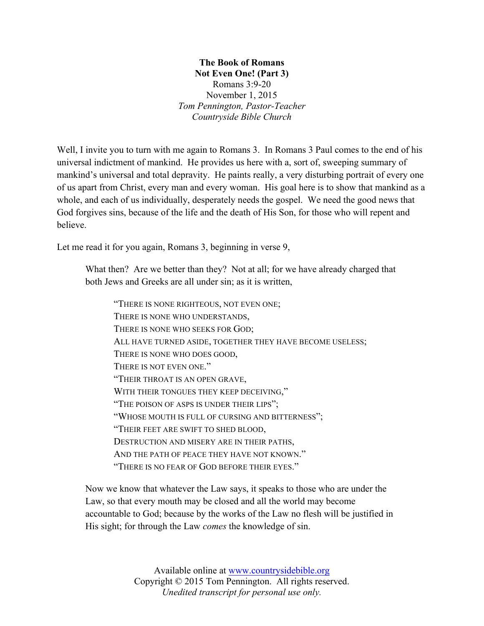**The Book of Romans Not Even One! (Part 3)** Romans 3:9-20 November 1, 2015 *Tom Pennington, Pastor-Teacher Countryside Bible Church*

Well, I invite you to turn with me again to Romans 3. In Romans 3 Paul comes to the end of his universal indictment of mankind. He provides us here with a, sort of, sweeping summary of mankind's universal and total depravity. He paints really, a very disturbing portrait of every one of us apart from Christ, every man and every woman. His goal here is to show that mankind as a whole, and each of us individually, desperately needs the gospel. We need the good news that God forgives sins, because of the life and the death of His Son, for those who will repent and believe.

Let me read it for you again, Romans 3, beginning in verse 9,

What then? Are we better than they? Not at all; for we have already charged that both Jews and Greeks are all under sin; as it is written,

"THERE IS NONE RIGHTEOUS, NOT EVEN ONE; THERE IS NONE WHO UNDERSTANDS, THERE IS NONE WHO SEEKS FOR GOD; ALL HAVE TURNED ASIDE, TOGETHER THEY HAVE BECOME USELESS; THERE IS NONE WHO DOES GOOD, THERE IS NOT EVEN ONE." "THEIR THROAT IS AN OPEN GRAVE, WITH THEIR TONGUES THEY KEEP DECEIVING," "THE POISON OF ASPS IS UNDER THEIR LIPS"; "WHOSE MOUTH IS FULL OF CURSING AND BITTERNESS"; "THEIR FEET ARE SWIFT TO SHED BLOOD, DESTRUCTION AND MISERY ARE IN THEIR PATHS, AND THE PATH OF PEACE THEY HAVE NOT KNOWN." "THERE IS NO FEAR OF GOD BEFORE THEIR EYES."

Now we know that whatever the Law says, it speaks to those who are under the Law, so that every mouth may be closed and all the world may become accountable to God; because by the works of the Law no flesh will be justified in His sight; for through the Law *comes* the knowledge of sin.

> Available online at www.countrysidebible.org Copyright © 2015 Tom Pennington. All rights reserved. *Unedited transcript for personal use only.*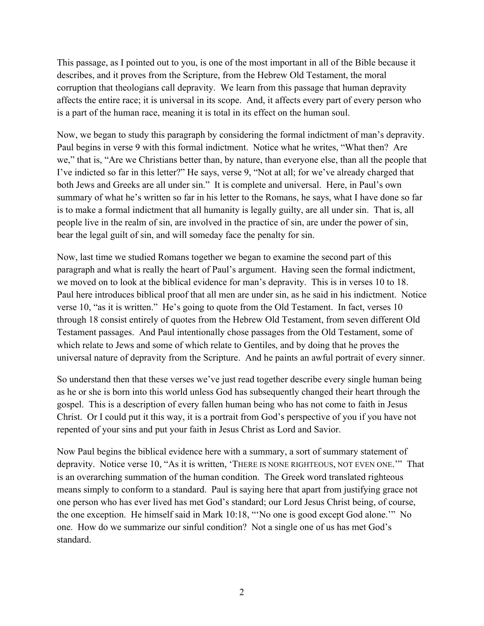This passage, as I pointed out to you, is one of the most important in all of the Bible because it describes, and it proves from the Scripture, from the Hebrew Old Testament, the moral corruption that theologians call depravity. We learn from this passage that human depravity affects the entire race; it is universal in its scope. And, it affects every part of every person who is a part of the human race, meaning it is total in its effect on the human soul.

Now, we began to study this paragraph by considering the formal indictment of man's depravity. Paul begins in verse 9 with this formal indictment. Notice what he writes, "What then? Are we," that is, "Are we Christians better than, by nature, than everyone else, than all the people that I've indicted so far in this letter?" He says, verse 9, "Not at all; for we've already charged that both Jews and Greeks are all under sin." It is complete and universal. Here, in Paul's own summary of what he's written so far in his letter to the Romans, he says, what I have done so far is to make a formal indictment that all humanity is legally guilty, are all under sin. That is, all people live in the realm of sin, are involved in the practice of sin, are under the power of sin, bear the legal guilt of sin, and will someday face the penalty for sin.

Now, last time we studied Romans together we began to examine the second part of this paragraph and what is really the heart of Paul's argument. Having seen the formal indictment, we moved on to look at the biblical evidence for man's depravity. This is in verses 10 to 18. Paul here introduces biblical proof that all men are under sin, as he said in his indictment. Notice verse 10, "as it is written." He's going to quote from the Old Testament. In fact, verses 10 through 18 consist entirely of quotes from the Hebrew Old Testament, from seven different Old Testament passages. And Paul intentionally chose passages from the Old Testament, some of which relate to Jews and some of which relate to Gentiles, and by doing that he proves the universal nature of depravity from the Scripture. And he paints an awful portrait of every sinner.

So understand then that these verses we've just read together describe every single human being as he or she is born into this world unless God has subsequently changed their heart through the gospel. This is a description of every fallen human being who has not come to faith in Jesus Christ. Or I could put it this way, it is a portrait from God's perspective of you if you have not repented of your sins and put your faith in Jesus Christ as Lord and Savior.

Now Paul begins the biblical evidence here with a summary, a sort of summary statement of depravity. Notice verse 10, "As it is written, 'THERE IS NONE RIGHTEOUS, NOT EVEN ONE.'" That is an overarching summation of the human condition. The Greek word translated righteous means simply to conform to a standard. Paul is saying here that apart from justifying grace not one person who has ever lived has met God's standard; our Lord Jesus Christ being, of course, the one exception. He himself said in Mark 10:18, "'No one is good except God alone.'" No one. How do we summarize our sinful condition? Not a single one of us has met God's standard.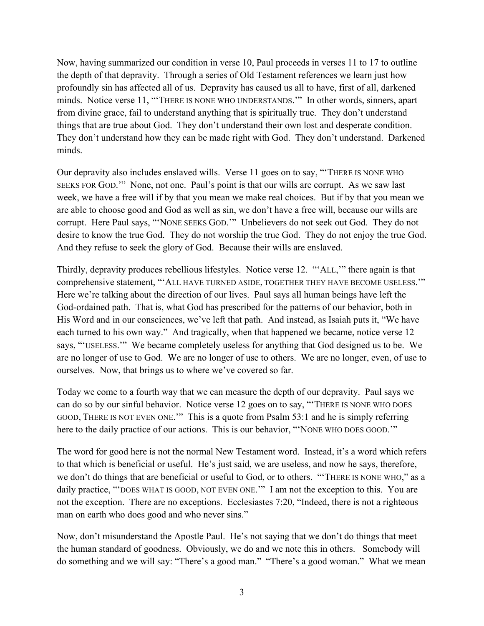Now, having summarized our condition in verse 10, Paul proceeds in verses 11 to 17 to outline the depth of that depravity. Through a series of Old Testament references we learn just how profoundly sin has affected all of us. Depravity has caused us all to have, first of all, darkened minds. Notice verse 11, "'THERE IS NONE WHO UNDERSTANDS.'" In other words, sinners, apart from divine grace, fail to understand anything that is spiritually true. They don't understand things that are true about God. They don't understand their own lost and desperate condition. They don't understand how they can be made right with God. They don't understand. Darkened minds.

Our depravity also includes enslaved wills. Verse 11 goes on to say, "'THERE IS NONE WHO SEEKS FOR GOD.'" None, not one. Paul's point is that our wills are corrupt. As we saw last week, we have a free will if by that you mean we make real choices. But if by that you mean we are able to choose good and God as well as sin, we don't have a free will, because our wills are corrupt. Here Paul says, "'NONE SEEKS GOD.'" Unbelievers do not seek out God. They do not desire to know the true God. They do not worship the true God. They do not enjoy the true God. And they refuse to seek the glory of God. Because their wills are enslaved.

Thirdly, depravity produces rebellious lifestyles. Notice verse 12. "'ALL,'" there again is that comprehensive statement, "'ALL HAVE TURNED ASIDE, TOGETHER THEY HAVE BECOME USELESS.'" Here we're talking about the direction of our lives. Paul says all human beings have left the God-ordained path. That is, what God has prescribed for the patterns of our behavior, both in His Word and in our consciences, we've left that path. And instead, as Isaiah puts it, "We have each turned to his own way." And tragically, when that happened we became, notice verse 12 says, "'USELESS.'" We became completely useless for anything that God designed us to be. We are no longer of use to God. We are no longer of use to others. We are no longer, even, of use to ourselves. Now, that brings us to where we've covered so far.

Today we come to a fourth way that we can measure the depth of our depravity. Paul says we can do so by our sinful behavior. Notice verse 12 goes on to say, "'THERE IS NONE WHO DOES GOOD, THERE IS NOT EVEN ONE.'" This is a quote from Psalm 53:1 and he is simply referring here to the daily practice of our actions. This is our behavior, "NONE WHO DOES GOOD."

The word for good here is not the normal New Testament word. Instead, it's a word which refers to that which is beneficial or useful. He's just said, we are useless, and now he says, therefore, we don't do things that are beneficial or useful to God, or to others. "'THERE IS NONE WHO," as a daily practice, ""DOES WHAT IS GOOD, NOT EVEN ONE."" I am not the exception to this. You are not the exception. There are no exceptions. Ecclesiastes 7:20, "Indeed, there is not a righteous man on earth who does good and who never sins."

Now, don't misunderstand the Apostle Paul. He's not saying that we don't do things that meet the human standard of goodness. Obviously, we do and we note this in others. Somebody will do something and we will say: "There's a good man." "There's a good woman." What we mean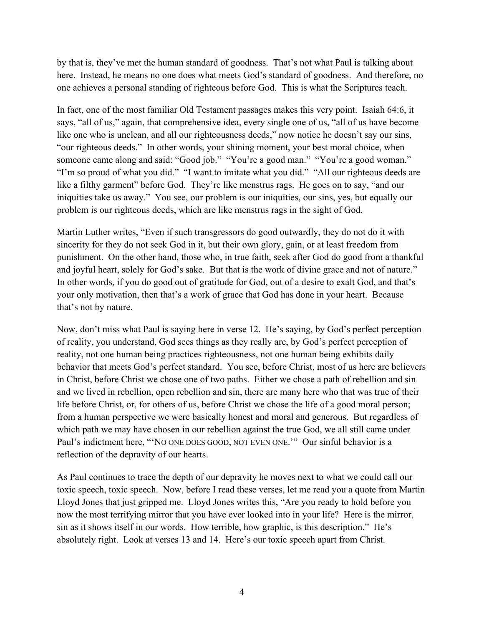by that is, they've met the human standard of goodness. That's not what Paul is talking about here. Instead, he means no one does what meets God's standard of goodness. And therefore, no one achieves a personal standing of righteous before God. This is what the Scriptures teach.

In fact, one of the most familiar Old Testament passages makes this very point. Isaiah 64:6, it says, "all of us," again, that comprehensive idea, every single one of us, "all of us have become like one who is unclean, and all our righteousness deeds," now notice he doesn't say our sins, "our righteous deeds." In other words, your shining moment, your best moral choice, when someone came along and said: "Good job." "You're a good man." "You're a good woman." "I'm so proud of what you did." "I want to imitate what you did." "All our righteous deeds are like a filthy garment" before God. They're like menstrus rags. He goes on to say, "and our iniquities take us away." You see, our problem is our iniquities, our sins, yes, but equally our problem is our righteous deeds, which are like menstrus rags in the sight of God.

Martin Luther writes, "Even if such transgressors do good outwardly, they do not do it with sincerity for they do not seek God in it, but their own glory, gain, or at least freedom from punishment. On the other hand, those who, in true faith, seek after God do good from a thankful and joyful heart, solely for God's sake. But that is the work of divine grace and not of nature." In other words, if you do good out of gratitude for God, out of a desire to exalt God, and that's your only motivation, then that's a work of grace that God has done in your heart. Because that's not by nature.

Now, don't miss what Paul is saying here in verse 12. He's saying, by God's perfect perception of reality, you understand, God sees things as they really are, by God's perfect perception of reality, not one human being practices righteousness, not one human being exhibits daily behavior that meets God's perfect standard. You see, before Christ, most of us here are believers in Christ, before Christ we chose one of two paths. Either we chose a path of rebellion and sin and we lived in rebellion, open rebellion and sin, there are many here who that was true of their life before Christ, or, for others of us, before Christ we chose the life of a good moral person; from a human perspective we were basically honest and moral and generous. But regardless of which path we may have chosen in our rebellion against the true God, we all still came under Paul's indictment here, "'NO ONE DOES GOOD, NOT EVEN ONE.'" Our sinful behavior is a reflection of the depravity of our hearts.

As Paul continues to trace the depth of our depravity he moves next to what we could call our toxic speech, toxic speech. Now, before I read these verses, let me read you a quote from Martin Lloyd Jones that just gripped me. Lloyd Jones writes this, "Are you ready to hold before you now the most terrifying mirror that you have ever looked into in your life? Here is the mirror, sin as it shows itself in our words. How terrible, how graphic, is this description." He's absolutely right. Look at verses 13 and 14. Here's our toxic speech apart from Christ.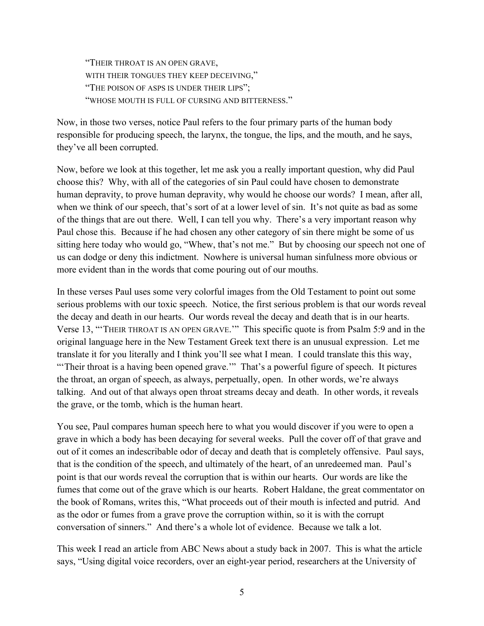"THEIR THROAT IS AN OPEN GRAVE, WITH THEIR TONGUES THEY KEEP DECEIVING," "THE POISON OF ASPS IS UNDER THEIR LIPS"; "WHOSE MOUTH IS FULL OF CURSING AND BITTERNESS."

Now, in those two verses, notice Paul refers to the four primary parts of the human body responsible for producing speech, the larynx, the tongue, the lips, and the mouth, and he says, they've all been corrupted.

Now, before we look at this together, let me ask you a really important question, why did Paul choose this? Why, with all of the categories of sin Paul could have chosen to demonstrate human depravity, to prove human depravity, why would he choose our words? I mean, after all, when we think of our speech, that's sort of at a lower level of sin. It's not quite as bad as some of the things that are out there. Well, I can tell you why. There's a very important reason why Paul chose this. Because if he had chosen any other category of sin there might be some of us sitting here today who would go, "Whew, that's not me." But by choosing our speech not one of us can dodge or deny this indictment. Nowhere is universal human sinfulness more obvious or more evident than in the words that come pouring out of our mouths.

In these verses Paul uses some very colorful images from the Old Testament to point out some serious problems with our toxic speech. Notice, the first serious problem is that our words reveal the decay and death in our hearts. Our words reveal the decay and death that is in our hearts. Verse 13, "'THEIR THROAT IS AN OPEN GRAVE.'" This specific quote is from Psalm 5:9 and in the original language here in the New Testament Greek text there is an unusual expression. Let me translate it for you literally and I think you'll see what I mean. I could translate this this way, "Their throat is a having been opened grave."" That's a powerful figure of speech. It pictures the throat, an organ of speech, as always, perpetually, open. In other words, we're always talking. And out of that always open throat streams decay and death. In other words, it reveals the grave, or the tomb, which is the human heart.

You see, Paul compares human speech here to what you would discover if you were to open a grave in which a body has been decaying for several weeks. Pull the cover off of that grave and out of it comes an indescribable odor of decay and death that is completely offensive. Paul says, that is the condition of the speech, and ultimately of the heart, of an unredeemed man. Paul's point is that our words reveal the corruption that is within our hearts. Our words are like the fumes that come out of the grave which is our hearts. Robert Haldane, the great commentator on the book of Romans, writes this, "What proceeds out of their mouth is infected and putrid. And as the odor or fumes from a grave prove the corruption within, so it is with the corrupt conversation of sinners." And there's a whole lot of evidence. Because we talk a lot.

This week I read an article from ABC News about a study back in 2007. This is what the article says, "Using digital voice recorders, over an eight-year period, researchers at the University of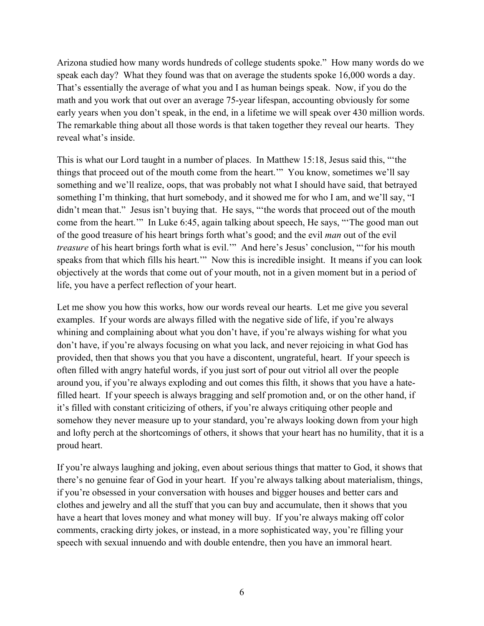Arizona studied how many words hundreds of college students spoke." How many words do we speak each day? What they found was that on average the students spoke 16,000 words a day. That's essentially the average of what you and I as human beings speak. Now, if you do the math and you work that out over an average 75-year lifespan, accounting obviously for some early years when you don't speak, in the end, in a lifetime we will speak over 430 million words. The remarkable thing about all those words is that taken together they reveal our hearts. They reveal what's inside.

This is what our Lord taught in a number of places. In Matthew 15:18, Jesus said this, "'the things that proceed out of the mouth come from the heart.'" You know, sometimes we'll say something and we'll realize, oops, that was probably not what I should have said, that betrayed something I'm thinking, that hurt somebody, and it showed me for who I am, and we'll say, "I didn't mean that." Jesus isn't buying that. He says, "the words that proceed out of the mouth come from the heart.'" In Luke 6:45, again talking about speech, He says, "'The good man out of the good treasure of his heart brings forth what's good; and the evil *man* out of the evil *treasure* of his heart brings forth what is evil." And here's Jesus' conclusion, "for his mouth speaks from that which fills his heart.'" Now this is incredible insight. It means if you can look objectively at the words that come out of your mouth, not in a given moment but in a period of life, you have a perfect reflection of your heart.

Let me show you how this works, how our words reveal our hearts. Let me give you several examples. If your words are always filled with the negative side of life, if you're always whining and complaining about what you don't have, if you're always wishing for what you don't have, if you're always focusing on what you lack, and never rejoicing in what God has provided, then that shows you that you have a discontent, ungrateful, heart. If your speech is often filled with angry hateful words, if you just sort of pour out vitriol all over the people around you, if you're always exploding and out comes this filth, it shows that you have a hatefilled heart. If your speech is always bragging and self promotion and, or on the other hand, if it's filled with constant criticizing of others, if you're always critiquing other people and somehow they never measure up to your standard, you're always looking down from your high and lofty perch at the shortcomings of others, it shows that your heart has no humility, that it is a proud heart.

If you're always laughing and joking, even about serious things that matter to God, it shows that there's no genuine fear of God in your heart. If you're always talking about materialism, things, if you're obsessed in your conversation with houses and bigger houses and better cars and clothes and jewelry and all the stuff that you can buy and accumulate, then it shows that you have a heart that loves money and what money will buy. If you're always making off color comments, cracking dirty jokes, or instead, in a more sophisticated way, you're filling your speech with sexual innuendo and with double entendre, then you have an immoral heart.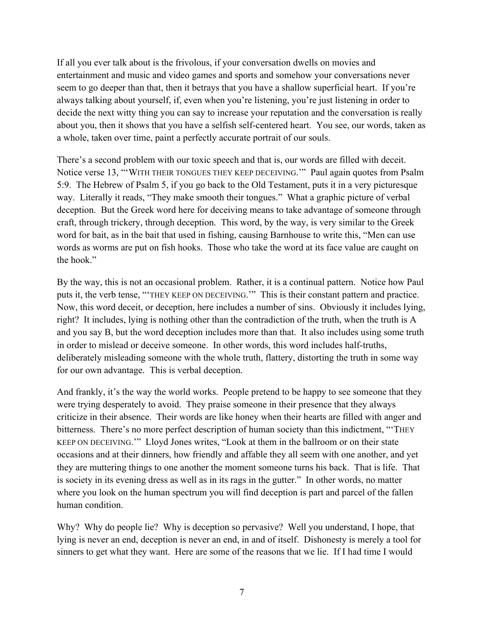If all you ever talk about is the frivolous, if your conversation dwells on movies and entertainment and music and video games and sports and somehow your conversations never seem to go deeper than that, then it betrays that you have a shallow superficial heart. If you're always talking about yourself, if, even when you're listening, you're just listening in order to decide the next witty thing you can say to increase your reputation and the conversation is really about you, then it shows that you have a selfish self-centered heart. You see, our words, taken as a whole, taken over time, paint a perfectly accurate portrait of our souls.

There's a second problem with our toxic speech and that is, our words are filled with deceit. Notice verse 13, "'WITH THEIR TONGUES THEY KEEP DECEIVING.'" Paul again quotes from Psalm 5:9. The Hebrew of Psalm 5, if you go back to the Old Testament, puts it in a very picturesque way. Literally it reads, "They make smooth their tongues." What a graphic picture of verbal deception. But the Greek word here for deceiving means to take advantage of someone through craft, through trickery, through deception. This word, by the way, is very similar to the Greek word for bait, as in the bait that used in fishing, causing Barnhouse to write this, "Men can use words as worms are put on fish hooks. Those who take the word at its face value are caught on the hook."

By the way, this is not an occasional problem. Rather, it is a continual pattern. Notice how Paul puts it, the verb tense, "'THEY KEEP ON DECEIVING.'" This is their constant pattern and practice. Now, this word deceit, or deception, here includes a number of sins. Obviously it includes lying, right? It includes, lying is nothing other than the contradiction of the truth, when the truth is A and you say B, but the word deception includes more than that. It also includes using some truth in order to mislead or deceive someone. In other words, this word includes half-truths, deliberately misleading someone with the whole truth, flattery, distorting the truth in some way for our own advantage. This is verbal deception.

And frankly, it's the way the world works. People pretend to be happy to see someone that they were trying desperately to avoid. They praise someone in their presence that they always criticize in their absence. Their words are like honey when their hearts are filled with anger and bitterness. There's no more perfect description of human society than this indictment, "THEY KEEP ON DECEIVING.'" Lloyd Jones writes, "Look at them in the ballroom or on their state occasions and at their dinners, how friendly and affable they all seem with one another, and yet they are muttering things to one another the moment someone turns his back. That is life. That is society in its evening dress as well as in its rags in the gutter." In other words, no matter where you look on the human spectrum you will find deception is part and parcel of the fallen human condition.

Why? Why do people lie? Why is deception so pervasive? Well you understand, I hope, that lying is never an end, deception is never an end, in and of itself. Dishonesty is merely a tool for sinners to get what they want. Here are some of the reasons that we lie. If I had time I would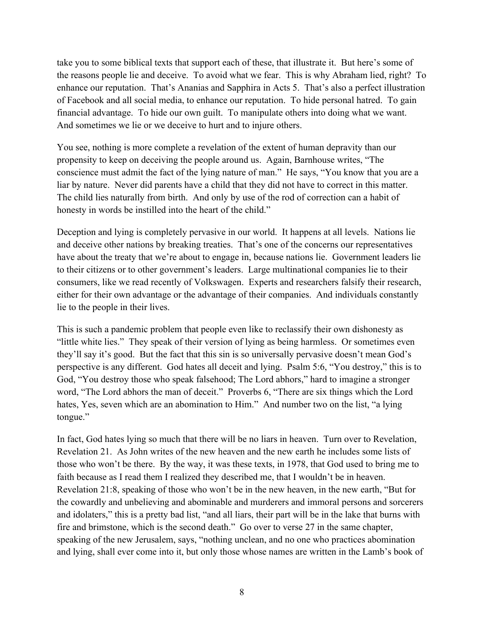take you to some biblical texts that support each of these, that illustrate it. But here's some of the reasons people lie and deceive. To avoid what we fear. This is why Abraham lied, right? To enhance our reputation. That's Ananias and Sapphira in Acts 5. That's also a perfect illustration of Facebook and all social media, to enhance our reputation. To hide personal hatred. To gain financial advantage. To hide our own guilt. To manipulate others into doing what we want. And sometimes we lie or we deceive to hurt and to injure others.

You see, nothing is more complete a revelation of the extent of human depravity than our propensity to keep on deceiving the people around us. Again, Barnhouse writes, "The conscience must admit the fact of the lying nature of man." He says, "You know that you are a liar by nature. Never did parents have a child that they did not have to correct in this matter. The child lies naturally from birth. And only by use of the rod of correction can a habit of honesty in words be instilled into the heart of the child."

Deception and lying is completely pervasive in our world. It happens at all levels. Nations lie and deceive other nations by breaking treaties. That's one of the concerns our representatives have about the treaty that we're about to engage in, because nations lie. Government leaders lie to their citizens or to other government's leaders. Large multinational companies lie to their consumers, like we read recently of Volkswagen. Experts and researchers falsify their research, either for their own advantage or the advantage of their companies. And individuals constantly lie to the people in their lives.

This is such a pandemic problem that people even like to reclassify their own dishonesty as "little white lies." They speak of their version of lying as being harmless. Or sometimes even they'll say it's good. But the fact that this sin is so universally pervasive doesn't mean God's perspective is any different. God hates all deceit and lying. Psalm 5:6, "You destroy," this is to God, "You destroy those who speak falsehood; The Lord abhors," hard to imagine a stronger word, "The Lord abhors the man of deceit." Proverbs 6, "There are six things which the Lord hates, Yes, seven which are an abomination to Him." And number two on the list, "a lying tongue."

In fact, God hates lying so much that there will be no liars in heaven. Turn over to Revelation, Revelation 21. As John writes of the new heaven and the new earth he includes some lists of those who won't be there. By the way, it was these texts, in 1978, that God used to bring me to faith because as I read them I realized they described me, that I wouldn't be in heaven. Revelation 21:8, speaking of those who won't be in the new heaven, in the new earth, "But for the cowardly and unbelieving and abominable and murderers and immoral persons and sorcerers and idolaters," this is a pretty bad list, "and all liars, their part will be in the lake that burns with fire and brimstone, which is the second death." Go over to verse 27 in the same chapter, speaking of the new Jerusalem, says, "nothing unclean, and no one who practices abomination and lying, shall ever come into it, but only those whose names are written in the Lamb's book of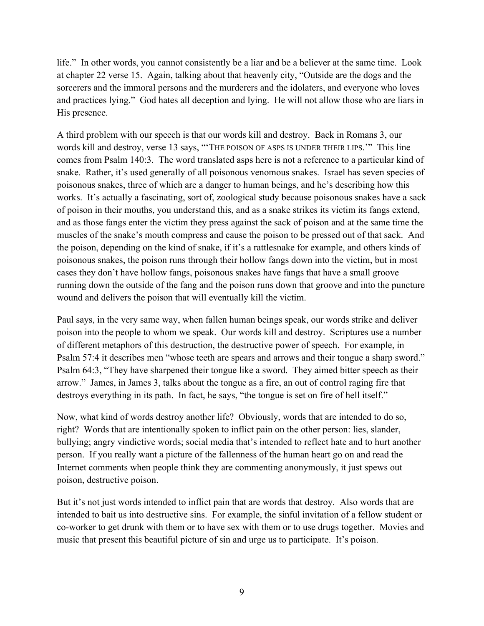life." In other words, you cannot consistently be a liar and be a believer at the same time. Look at chapter 22 verse 15. Again, talking about that heavenly city, "Outside are the dogs and the sorcerers and the immoral persons and the murderers and the idolaters, and everyone who loves and practices lying." God hates all deception and lying. He will not allow those who are liars in His presence.

A third problem with our speech is that our words kill and destroy. Back in Romans 3, our words kill and destroy, verse 13 says, "THE POISON OF ASPS IS UNDER THEIR LIPS." This line comes from Psalm 140:3. The word translated asps here is not a reference to a particular kind of snake. Rather, it's used generally of all poisonous venomous snakes. Israel has seven species of poisonous snakes, three of which are a danger to human beings, and he's describing how this works. It's actually a fascinating, sort of, zoological study because poisonous snakes have a sack of poison in their mouths, you understand this, and as a snake strikes its victim its fangs extend, and as those fangs enter the victim they press against the sack of poison and at the same time the muscles of the snake's mouth compress and cause the poison to be pressed out of that sack. And the poison, depending on the kind of snake, if it's a rattlesnake for example, and others kinds of poisonous snakes, the poison runs through their hollow fangs down into the victim, but in most cases they don't have hollow fangs, poisonous snakes have fangs that have a small groove running down the outside of the fang and the poison runs down that groove and into the puncture wound and delivers the poison that will eventually kill the victim.

Paul says, in the very same way, when fallen human beings speak, our words strike and deliver poison into the people to whom we speak. Our words kill and destroy. Scriptures use a number of different metaphors of this destruction, the destructive power of speech. For example, in Psalm 57:4 it describes men "whose teeth are spears and arrows and their tongue a sharp sword." Psalm 64:3, "They have sharpened their tongue like a sword. They aimed bitter speech as their arrow." James, in James 3, talks about the tongue as a fire, an out of control raging fire that destroys everything in its path. In fact, he says, "the tongue is set on fire of hell itself."

Now, what kind of words destroy another life? Obviously, words that are intended to do so, right? Words that are intentionally spoken to inflict pain on the other person: lies, slander, bullying; angry vindictive words; social media that's intended to reflect hate and to hurt another person. If you really want a picture of the fallenness of the human heart go on and read the Internet comments when people think they are commenting anonymously, it just spews out poison, destructive poison.

But it's not just words intended to inflict pain that are words that destroy. Also words that are intended to bait us into destructive sins. For example, the sinful invitation of a fellow student or co-worker to get drunk with them or to have sex with them or to use drugs together. Movies and music that present this beautiful picture of sin and urge us to participate. It's poison.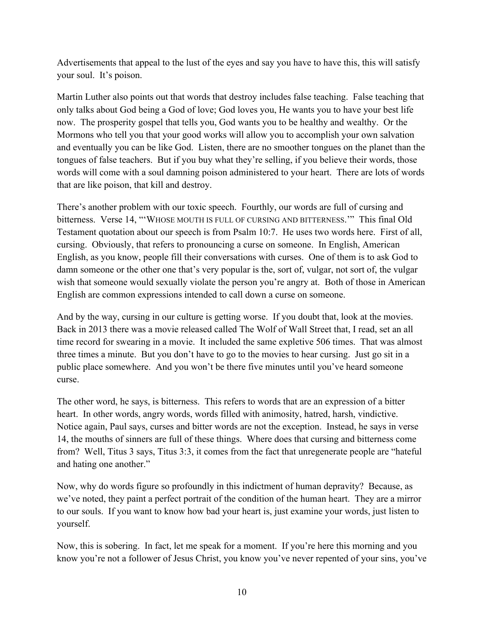Advertisements that appeal to the lust of the eyes and say you have to have this, this will satisfy your soul. It's poison.

Martin Luther also points out that words that destroy includes false teaching. False teaching that only talks about God being a God of love; God loves you, He wants you to have your best life now. The prosperity gospel that tells you, God wants you to be healthy and wealthy. Or the Mormons who tell you that your good works will allow you to accomplish your own salvation and eventually you can be like God. Listen, there are no smoother tongues on the planet than the tongues of false teachers. But if you buy what they're selling, if you believe their words, those words will come with a soul damning poison administered to your heart. There are lots of words that are like poison, that kill and destroy.

There's another problem with our toxic speech. Fourthly, our words are full of cursing and bitterness. Verse 14, "'WHOSE MOUTH IS FULL OF CURSING AND BITTERNESS.'" This final Old Testament quotation about our speech is from Psalm 10:7. He uses two words here. First of all, cursing. Obviously, that refers to pronouncing a curse on someone. In English, American English, as you know, people fill their conversations with curses. One of them is to ask God to damn someone or the other one that's very popular is the, sort of, vulgar, not sort of, the vulgar wish that someone would sexually violate the person you're angry at. Both of those in American English are common expressions intended to call down a curse on someone.

And by the way, cursing in our culture is getting worse. If you doubt that, look at the movies. Back in 2013 there was a movie released called The Wolf of Wall Street that, I read, set an all time record for swearing in a movie. It included the same expletive 506 times. That was almost three times a minute. But you don't have to go to the movies to hear cursing. Just go sit in a public place somewhere. And you won't be there five minutes until you've heard someone curse.

The other word, he says, is bitterness. This refers to words that are an expression of a bitter heart. In other words, angry words, words filled with animosity, hatred, harsh, vindictive. Notice again, Paul says, curses and bitter words are not the exception. Instead, he says in verse 14, the mouths of sinners are full of these things. Where does that cursing and bitterness come from? Well, Titus 3 says, Titus 3:3, it comes from the fact that unregenerate people are "hateful and hating one another."

Now, why do words figure so profoundly in this indictment of human depravity? Because, as we've noted, they paint a perfect portrait of the condition of the human heart. They are a mirror to our souls. If you want to know how bad your heart is, just examine your words, just listen to yourself.

Now, this is sobering. In fact, let me speak for a moment. If you're here this morning and you know you're not a follower of Jesus Christ, you know you've never repented of your sins, you've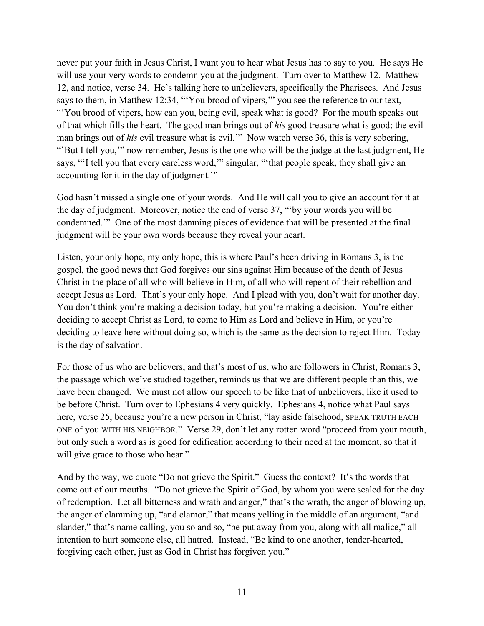never put your faith in Jesus Christ, I want you to hear what Jesus has to say to you. He says He will use your very words to condemn you at the judgment. Turn over to Matthew 12. Matthew 12, and notice, verse 34. He's talking here to unbelievers, specifically the Pharisees. And Jesus says to them, in Matthew 12:34, "You brood of vipers," you see the reference to our text, "You brood of vipers, how can you, being evil, speak what is good? For the mouth speaks out of that which fills the heart. The good man brings out of *his* good treasure what is good; the evil man brings out of *his* evil treasure what is evil.'" Now watch verse 36, this is very sobering, "'But I tell you,'" now remember, Jesus is the one who will be the judge at the last judgment, He says, "'I tell you that every careless word,'" singular, "'that people speak, they shall give an accounting for it in the day of judgment.'"

God hasn't missed a single one of your words. And He will call you to give an account for it at the day of judgment. Moreover, notice the end of verse 37, "'by your words you will be condemned.'" One of the most damning pieces of evidence that will be presented at the final judgment will be your own words because they reveal your heart.

Listen, your only hope, my only hope, this is where Paul's been driving in Romans 3, is the gospel, the good news that God forgives our sins against Him because of the death of Jesus Christ in the place of all who will believe in Him, of all who will repent of their rebellion and accept Jesus as Lord. That's your only hope. And I plead with you, don't wait for another day. You don't think you're making a decision today, but you're making a decision. You're either deciding to accept Christ as Lord, to come to Him as Lord and believe in Him, or you're deciding to leave here without doing so, which is the same as the decision to reject Him. Today is the day of salvation.

For those of us who are believers, and that's most of us, who are followers in Christ, Romans 3, the passage which we've studied together, reminds us that we are different people than this, we have been changed. We must not allow our speech to be like that of unbelievers, like it used to be before Christ. Turn over to Ephesians 4 very quickly. Ephesians 4, notice what Paul says here, verse 25, because you're a new person in Christ, "lay aside falsehood, SPEAK TRUTH EACH ONE of you WITH HIS NEIGHBOR." Verse 29, don't let any rotten word "proceed from your mouth, but only such a word as is good for edification according to their need at the moment, so that it will give grace to those who hear."

And by the way, we quote "Do not grieve the Spirit." Guess the context? It's the words that come out of our mouths. "Do not grieve the Spirit of God, by whom you were sealed for the day of redemption. Let all bitterness and wrath and anger," that's the wrath, the anger of blowing up, the anger of clamming up, "and clamor," that means yelling in the middle of an argument, "and slander," that's name calling, you so and so, "be put away from you, along with all malice," all intention to hurt someone else, all hatred. Instead, "Be kind to one another, tender-hearted, forgiving each other, just as God in Christ has forgiven you."